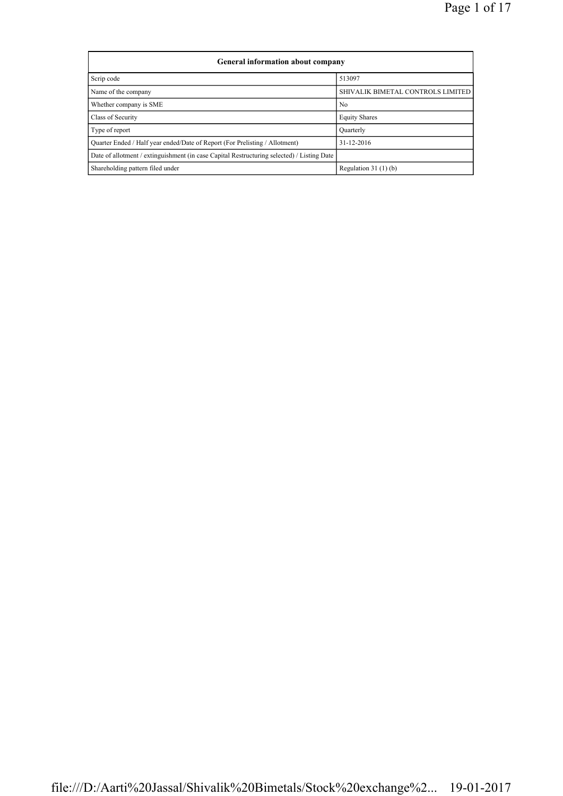| General information about company                                                          |                                   |  |  |  |  |  |  |
|--------------------------------------------------------------------------------------------|-----------------------------------|--|--|--|--|--|--|
| Scrip code                                                                                 | 513097                            |  |  |  |  |  |  |
| Name of the company                                                                        | SHIVALIK BIMETAL CONTROLS LIMITED |  |  |  |  |  |  |
| Whether company is SME                                                                     | No                                |  |  |  |  |  |  |
| Class of Security                                                                          | <b>Equity Shares</b>              |  |  |  |  |  |  |
| Type of report                                                                             | Quarterly                         |  |  |  |  |  |  |
| Ouarter Ended / Half year ended/Date of Report (For Prelisting / Allotment)                | 31-12-2016                        |  |  |  |  |  |  |
| Date of allotment / extinguishment (in case Capital Restructuring selected) / Listing Date |                                   |  |  |  |  |  |  |
| Shareholding pattern filed under                                                           | Regulation $31(1)(b)$             |  |  |  |  |  |  |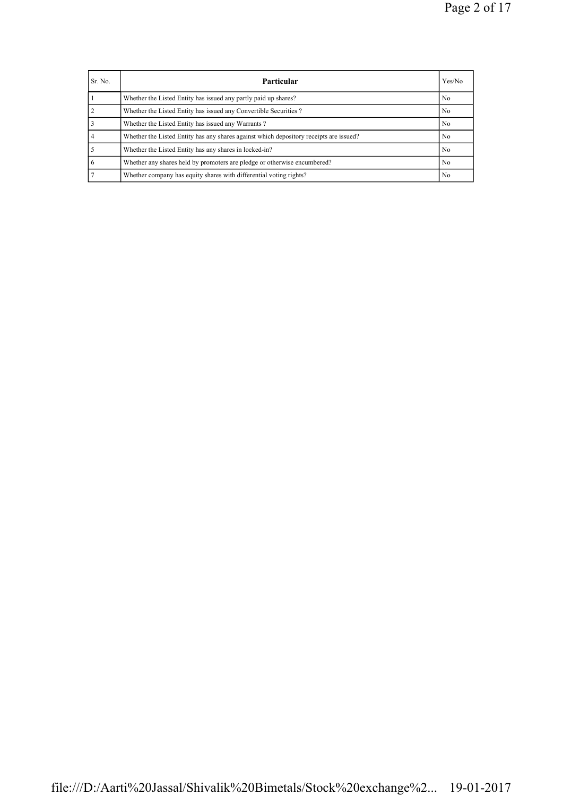| Sr. No. | Particular                                                                             | Yes/No         |
|---------|----------------------------------------------------------------------------------------|----------------|
|         | Whether the Listed Entity has issued any partly paid up shares?                        | N <sub>0</sub> |
|         | Whether the Listed Entity has issued any Convertible Securities?                       | N <sub>0</sub> |
|         | Whether the Listed Entity has issued any Warrants?                                     | N <sub>0</sub> |
|         | Whether the Listed Entity has any shares against which depository receipts are issued? | No             |
|         | Whether the Listed Entity has any shares in locked-in?                                 | No.            |
| 6       | Whether any shares held by promoters are pledge or otherwise encumbered?               | No.            |
|         | Whether company has equity shares with differential voting rights?                     | No.            |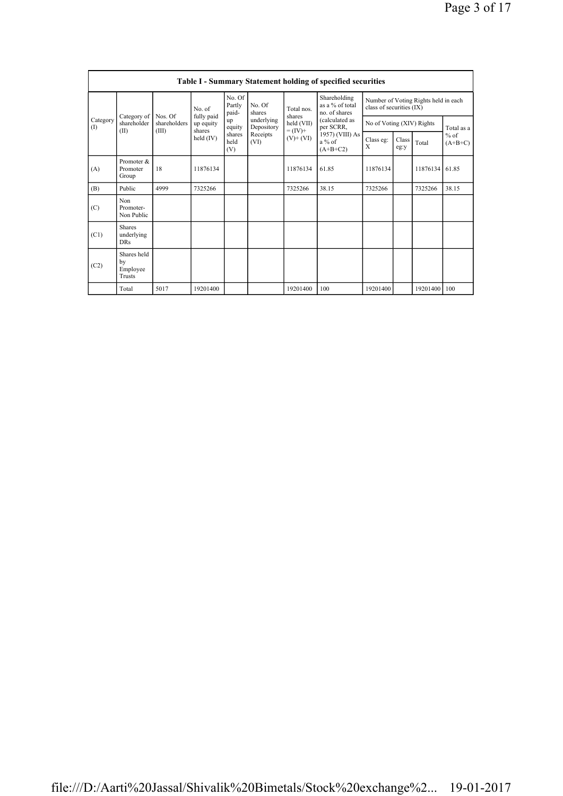|                 | Table I - Summary Statement holding of specified securities |                                                                    |                        |                           |                          |                              |                                                  |                                                                  |               |          |                     |
|-----------------|-------------------------------------------------------------|--------------------------------------------------------------------|------------------------|---------------------------|--------------------------|------------------------------|--------------------------------------------------|------------------------------------------------------------------|---------------|----------|---------------------|
| Category<br>(I) | Category of<br>shareholder<br>(II)                          | No. of<br>fully paid<br>Nos. Of<br>shareholders<br>shares<br>(III) |                        | No. Of<br>Partly<br>paid- | No. Of<br>shares         | Total nos                    | Shareholding<br>as a % of total<br>no. of shares | Number of Voting Rights held in each<br>class of securities (IX) |               |          |                     |
|                 |                                                             |                                                                    | up equity<br>held (IV) | up<br>equity              | underlying<br>Depository | shares<br>held (VII)         | (calculated as<br>per SCRR,                      | No of Voting (XIV) Rights                                        |               |          | Total as a          |
|                 |                                                             |                                                                    |                        | shares<br>held<br>(V)     | Receipts<br>(VI)         | $= (IV) +$<br>$(V)$ + $(VI)$ | 1957) (VIII) As<br>$a\%$ of<br>$(A+B+C2)$        | Class eg:<br>Χ                                                   | Class<br>eg:y | Total    | $%$ of<br>$(A+B+C)$ |
| (A)             | Promoter $\&$<br>Promoter<br>Group                          | 18                                                                 | 11876134               |                           |                          | 11876134                     | 61.85                                            | 11876134                                                         |               | 11876134 | 61.85               |
| (B)             | Public                                                      | 4999                                                               | 7325266                |                           |                          | 7325266                      | 38.15                                            | 7325266                                                          |               | 7325266  | 38.15               |
| (C)             | Non<br>Promoter-<br>Non Public                              |                                                                    |                        |                           |                          |                              |                                                  |                                                                  |               |          |                     |
| (C1)            | <b>Shares</b><br>underlying<br><b>DRs</b>                   |                                                                    |                        |                           |                          |                              |                                                  |                                                                  |               |          |                     |
| (C2)            | Shares held<br>by<br>Employee<br>Trusts                     |                                                                    |                        |                           |                          |                              |                                                  |                                                                  |               |          |                     |
|                 | Total                                                       | 5017                                                               | 19201400               |                           |                          | 19201400                     | 100                                              | 19201400                                                         |               | 19201400 | 100                 |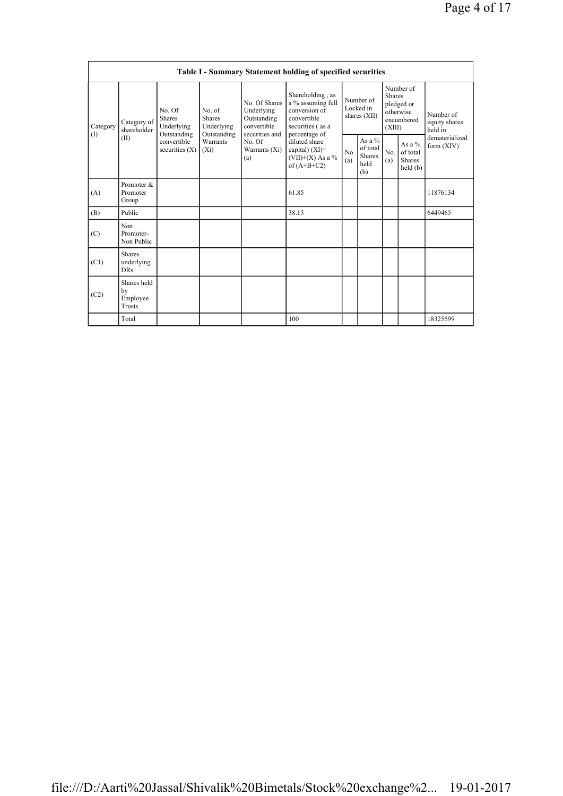|                 | Table I - Summary Statement holding of specified securities |                                                                                         |                                                                             |                                                                                                               |                                                                                                            |                                        |                                                    |                                                                               |                                         |                                       |  |
|-----------------|-------------------------------------------------------------|-----------------------------------------------------------------------------------------|-----------------------------------------------------------------------------|---------------------------------------------------------------------------------------------------------------|------------------------------------------------------------------------------------------------------------|----------------------------------------|----------------------------------------------------|-------------------------------------------------------------------------------|-----------------------------------------|---------------------------------------|--|
| Category<br>(1) | Category of<br>shareholder<br>(II)                          | No. Of<br><b>Shares</b><br>Underlying<br>Outstanding<br>convertible<br>securities $(X)$ | No. of<br><b>Shares</b><br>Underlying<br>Outstanding<br>Warrants<br>$(X_i)$ | No. Of Shares<br>Underlying<br>Outstanding<br>convertible<br>securities and<br>No. Of<br>Warrants (Xi)<br>(a) | Shareholding, as<br>a % assuming full<br>conversion of<br>convertible<br>securities (as a<br>percentage of | Number of<br>Locked in<br>shares (XII) |                                                    | Number of<br><b>Shares</b><br>pledged or<br>otherwise<br>encumbered<br>(XIII) |                                         | Number of<br>equity shares<br>held in |  |
|                 |                                                             |                                                                                         |                                                                             |                                                                                                               | diluted share<br>capital) $(XI)$ =<br>$(VII)+(X)$ As a %<br>of $(A+B+C2)$                                  | No.<br>(a)                             | As a %<br>of total<br><b>Shares</b><br>held<br>(b) | No.<br>(a)                                                                    | As a %<br>of total<br>Shares<br>held(b) | dematerialized<br>form (XIV)          |  |
| (A)             | Promoter &<br>Promoter<br>Group                             |                                                                                         |                                                                             |                                                                                                               | 61.85                                                                                                      |                                        |                                                    |                                                                               |                                         | 11876134                              |  |
| (B)             | Public                                                      |                                                                                         |                                                                             |                                                                                                               | 38.15                                                                                                      |                                        |                                                    |                                                                               |                                         | 6449465                               |  |
| (C)             | Non<br>Promoter-<br>Non Public                              |                                                                                         |                                                                             |                                                                                                               |                                                                                                            |                                        |                                                    |                                                                               |                                         |                                       |  |
| (C1)            | <b>Shares</b><br>underlying<br><b>DRs</b>                   |                                                                                         |                                                                             |                                                                                                               |                                                                                                            |                                        |                                                    |                                                                               |                                         |                                       |  |
| (C2)            | Shares held<br>by<br>Employee<br>Trusts                     |                                                                                         |                                                                             |                                                                                                               |                                                                                                            |                                        |                                                    |                                                                               |                                         |                                       |  |
|                 | Total                                                       |                                                                                         |                                                                             |                                                                                                               | 100                                                                                                        |                                        |                                                    |                                                                               |                                         | 18325599                              |  |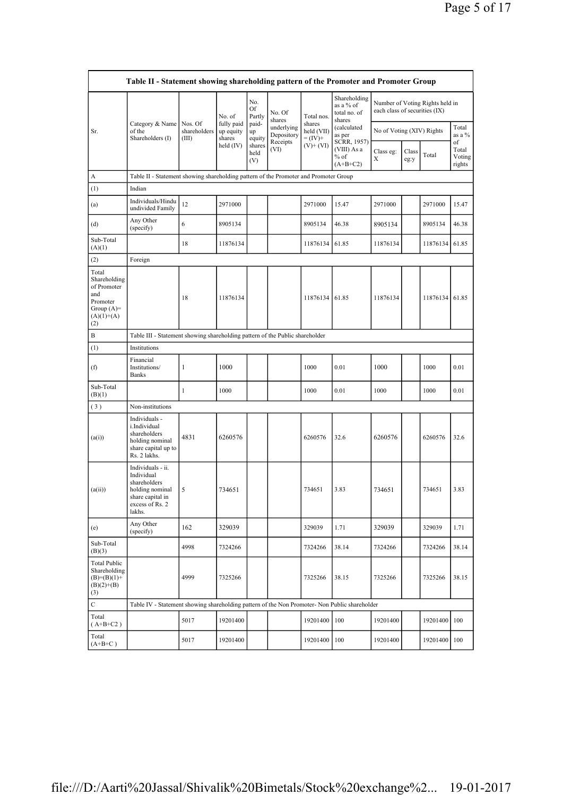|                                                                                                | Table II - Statement showing shareholding pattern of the Promoter and Promoter Group                                |                                                                              |                                   |                       |                          |                                    |                                                     |                               |               |                                 |                                 |
|------------------------------------------------------------------------------------------------|---------------------------------------------------------------------------------------------------------------------|------------------------------------------------------------------------------|-----------------------------------|-----------------------|--------------------------|------------------------------------|-----------------------------------------------------|-------------------------------|---------------|---------------------------------|---------------------------------|
|                                                                                                |                                                                                                                     |                                                                              | No. of                            | No.<br>Of<br>Partly   | No. Of<br>shares         | Total nos.                         | Shareholding<br>as a % of<br>total no. of<br>shares | each class of securities (IX) |               | Number of Voting Rights held in |                                 |
| Sr.                                                                                            | Category & Name<br>of the<br>Shareholders (I)                                                                       | Nos. Of<br>shareholders<br>(III)                                             | fully paid<br>up equity<br>shares | paid-<br>up<br>equity | underlying<br>Depository | shares<br>held (VII)<br>$= (IV) +$ | (calculated<br>as per                               | No of Voting (XIV) Rights     |               |                                 | Total<br>as a %                 |
|                                                                                                |                                                                                                                     |                                                                              | held $(IV)$                       | shares<br>held<br>(V) | Receipts<br>(VI)         | $(V)$ + $(VI)$                     | SCRR, 1957)<br>(VIII) As a<br>$%$ of<br>$(A+B+C2)$  | Class eg:<br>Х                | Class<br>eg:y | Total                           | of<br>Total<br>Voting<br>rights |
| A                                                                                              | Table II - Statement showing shareholding pattern of the Promoter and Promoter Group                                |                                                                              |                                   |                       |                          |                                    |                                                     |                               |               |                                 |                                 |
| (1)                                                                                            | Indian                                                                                                              |                                                                              |                                   |                       |                          |                                    |                                                     |                               |               |                                 |                                 |
| (a)                                                                                            | Individuals/Hindu<br>undivided Family                                                                               | 12                                                                           | 2971000                           |                       |                          | 2971000                            | 15.47                                               | 2971000                       |               | 2971000                         | 15.47                           |
| (d)                                                                                            | Any Other<br>(specify)                                                                                              | 6                                                                            | 8905134                           |                       |                          | 8905134                            | 46.38                                               | 8905134                       |               | 8905134                         | 46.38                           |
| Sub-Total<br>(A)(1)                                                                            |                                                                                                                     | 18                                                                           | 11876134                          |                       |                          | 11876134                           | 61.85                                               | 11876134                      |               | 11876134                        | 61.85                           |
| (2)                                                                                            | Foreign                                                                                                             |                                                                              |                                   |                       |                          |                                    |                                                     |                               |               |                                 |                                 |
| Total<br>Shareholding<br>of Promoter<br>and<br>Promoter<br>Group $(A)=$<br>$(A)(1)+(A)$<br>(2) |                                                                                                                     | 18                                                                           | 11876134                          |                       |                          | 11876134                           | 61.85                                               | 11876134                      |               | 11876134                        | 61.85                           |
| В                                                                                              |                                                                                                                     | Table III - Statement showing shareholding pattern of the Public shareholder |                                   |                       |                          |                                    |                                                     |                               |               |                                 |                                 |
| (1)                                                                                            | Institutions                                                                                                        |                                                                              |                                   |                       |                          |                                    |                                                     |                               |               |                                 |                                 |
| (f)                                                                                            | Financial<br>Institutions/<br><b>Banks</b>                                                                          | 1                                                                            | 1000                              |                       |                          | 1000                               | 0.01                                                | 1000                          |               | 1000                            | 0.01                            |
| Sub-Total<br>(B)(1)                                                                            |                                                                                                                     | 1                                                                            | 1000                              |                       |                          | 1000                               | 0.01                                                | 1000                          |               | 1000                            | 0.01                            |
| (3)                                                                                            | Non-institutions                                                                                                    |                                                                              |                                   |                       |                          |                                    |                                                     |                               |               |                                 |                                 |
| (a(i))                                                                                         | Individuals -<br>i.Individual<br>shareholders<br>holding nominal<br>share capital up to<br>Rs. 2 lakhs.             | 4831                                                                         | 6260576                           |                       |                          | 6260576                            | 32.6                                                | 6260576                       |               | 6260576                         | 32.6                            |
| (a(ii))                                                                                        | Individuals - ii.<br>Individual<br>shareholders<br>holding nominal<br>share capital in<br>excess of Rs. 2<br>lakhs. | 5                                                                            | 734651                            |                       |                          | 734651                             | 3.83                                                | 734651                        |               | 734651                          | 3.83                            |
| (e)                                                                                            | Any Other<br>(specify)                                                                                              | 162                                                                          | 329039                            |                       |                          | 329039                             | 1.71                                                | 329039                        |               | 329039                          | 1.71                            |
| Sub-Total<br>(B)(3)                                                                            |                                                                                                                     | 4998                                                                         | 7324266                           |                       |                          | 7324266                            | 38.14                                               | 7324266                       |               | 7324266                         | 38.14                           |
| Total Public<br>Shareholding<br>$(B)= (B)(1) +$<br>$(B)(2)+(B)$<br>(3)                         |                                                                                                                     | 4999                                                                         | 7325266                           |                       |                          | 7325266                            | 38.15                                               | 7325266                       |               | 7325266                         | 38.15                           |
| ${\bf C}$                                                                                      | Table IV - Statement showing shareholding pattern of the Non Promoter- Non Public shareholder                       |                                                                              |                                   |                       |                          |                                    |                                                     |                               |               |                                 |                                 |
| Total<br>$(A+B+C2)$                                                                            |                                                                                                                     | 5017                                                                         | 19201400                          |                       |                          | 19201400                           | 100                                                 | 19201400                      |               | 19201400                        | 100                             |
| Total<br>$(A+B+C)$                                                                             |                                                                                                                     | 5017                                                                         | 19201400                          |                       |                          | 19201400                           | 100                                                 | 19201400                      |               | 19201400   100                  |                                 |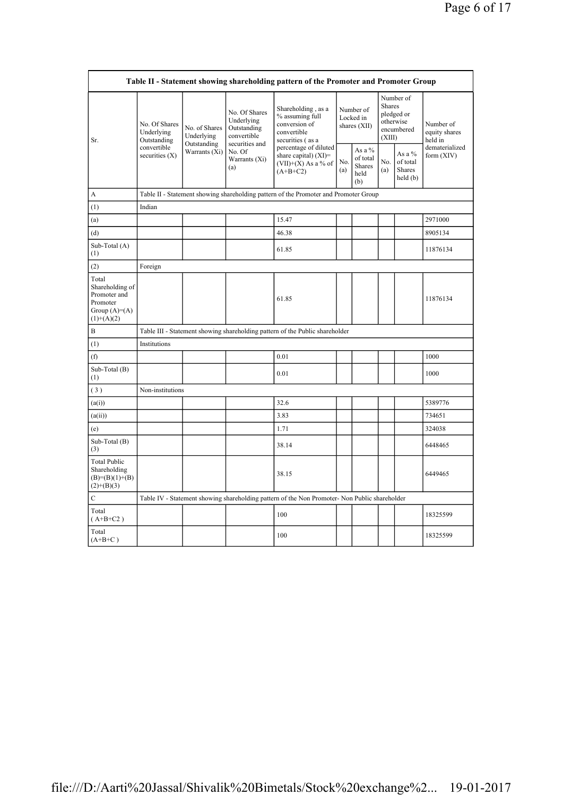| Table II - Statement showing shareholding pattern of the Promoter and Promoter Group   |                                                                               |                                                             |                                                                                                               |                                                                                               |                                        |                                                    |                         |                                                    |                                       |
|----------------------------------------------------------------------------------------|-------------------------------------------------------------------------------|-------------------------------------------------------------|---------------------------------------------------------------------------------------------------------------|-----------------------------------------------------------------------------------------------|----------------------------------------|----------------------------------------------------|-------------------------|----------------------------------------------------|---------------------------------------|
| Sr.                                                                                    | No. Of Shares<br>Underlying<br>Outstanding<br>convertible<br>securities $(X)$ | No. of Shares<br>Underlying<br>Outstanding<br>Warrants (Xi) | No. Of Shares<br>Underlying<br>Outstanding<br>convertible<br>securities and<br>No. Of<br>Warrants (Xi)<br>(a) | Shareholding, as a<br>% assuming full<br>conversion of<br>convertible<br>securities (as a     | Number of<br>Locked in<br>shares (XII) |                                                    | <b>Shares</b><br>(XIII) | Number of<br>pledged or<br>otherwise<br>encumbered | Number of<br>equity shares<br>held in |
|                                                                                        |                                                                               |                                                             |                                                                                                               | percentage of diluted<br>share capital) $(XI)$ =<br>$(VII)+(X)$ As a % of<br>$(A+B+C2)$       | No.<br>(a)                             | As a %<br>of total<br><b>Shares</b><br>held<br>(b) | No.<br>(a)              | As a %<br>of total<br>Shares<br>held(b)            | dematerialized<br>form $(XIV)$        |
| A                                                                                      |                                                                               |                                                             |                                                                                                               | Table II - Statement showing shareholding pattern of the Promoter and Promoter Group          |                                        |                                                    |                         |                                                    |                                       |
| (1)                                                                                    | Indian                                                                        |                                                             |                                                                                                               |                                                                                               |                                        |                                                    |                         |                                                    |                                       |
| (a)                                                                                    |                                                                               |                                                             |                                                                                                               | 15.47                                                                                         |                                        |                                                    |                         |                                                    | 2971000                               |
| (d)                                                                                    |                                                                               |                                                             |                                                                                                               | 46.38                                                                                         |                                        |                                                    |                         |                                                    | 8905134                               |
| Sub-Total (A)<br>(1)                                                                   |                                                                               |                                                             |                                                                                                               | 61.85                                                                                         |                                        |                                                    |                         |                                                    | 11876134                              |
| (2)                                                                                    | Foreign                                                                       |                                                             |                                                                                                               |                                                                                               |                                        |                                                    |                         |                                                    |                                       |
| Total<br>Shareholding of<br>Promoter and<br>Promoter<br>Group $(A)=A)$<br>$(1)+(A)(2)$ |                                                                               |                                                             |                                                                                                               | 61.85                                                                                         |                                        |                                                    |                         |                                                    | 11876134                              |
| B                                                                                      |                                                                               |                                                             |                                                                                                               | Table III - Statement showing shareholding pattern of the Public shareholder                  |                                        |                                                    |                         |                                                    |                                       |
| (1)                                                                                    | Institutions                                                                  |                                                             |                                                                                                               |                                                                                               |                                        |                                                    |                         |                                                    |                                       |
| (f)                                                                                    |                                                                               |                                                             |                                                                                                               | 0.01                                                                                          |                                        |                                                    |                         |                                                    | 1000                                  |
| Sub-Total (B)<br>(1)                                                                   |                                                                               |                                                             |                                                                                                               | 0.01                                                                                          |                                        |                                                    |                         |                                                    | 1000                                  |
| (3)                                                                                    | Non-institutions                                                              |                                                             |                                                                                                               |                                                                                               |                                        |                                                    |                         |                                                    |                                       |
| (a(i))                                                                                 |                                                                               |                                                             |                                                                                                               | 32.6                                                                                          |                                        |                                                    |                         |                                                    | 5389776                               |
| (a(ii))                                                                                |                                                                               |                                                             |                                                                                                               | 3.83                                                                                          |                                        |                                                    |                         |                                                    | 734651                                |
| (e)                                                                                    |                                                                               |                                                             |                                                                                                               | 1.71                                                                                          |                                        |                                                    |                         |                                                    | 324038                                |
| Sub-Total (B)<br>(3)                                                                   |                                                                               |                                                             |                                                                                                               | 38.14                                                                                         |                                        |                                                    |                         |                                                    | 6448465                               |
| <b>Total Public</b><br>Shareholding<br>$(B)=(B)(1)+(B)$<br>$(2)+(B)(3)$                |                                                                               |                                                             |                                                                                                               | 38.15                                                                                         |                                        |                                                    |                         |                                                    | 6449465                               |
| $\mathbf C$                                                                            |                                                                               |                                                             |                                                                                                               | Table IV - Statement showing shareholding pattern of the Non Promoter- Non Public shareholder |                                        |                                                    |                         |                                                    |                                       |
| Total<br>$(A+B+C2)$                                                                    |                                                                               |                                                             |                                                                                                               | 100                                                                                           |                                        |                                                    |                         |                                                    | 18325599                              |
| Total<br>$(A+B+C)$                                                                     |                                                                               |                                                             |                                                                                                               | 100                                                                                           |                                        |                                                    |                         |                                                    | 18325599                              |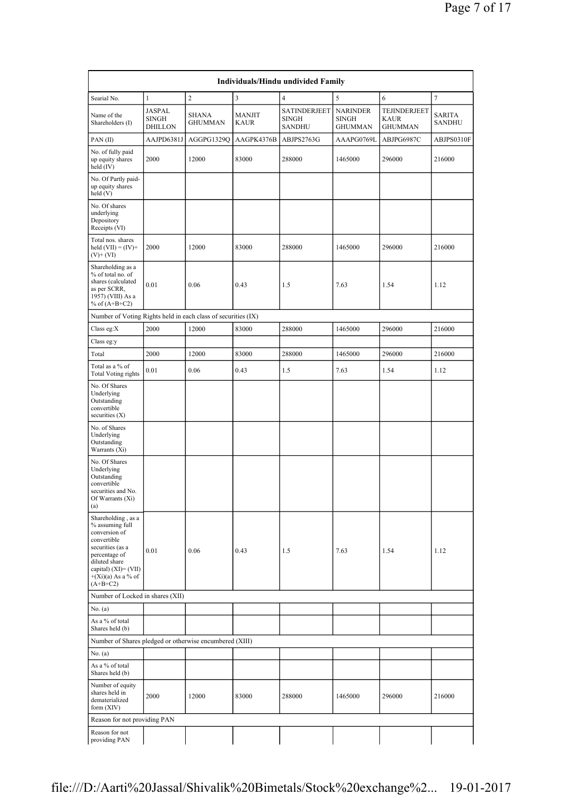| Individuals/Hindu undivided Family                                                                                                                                                        |                                                 |                                |                              |                                               |                                            |                                               |                         |  |  |
|-------------------------------------------------------------------------------------------------------------------------------------------------------------------------------------------|-------------------------------------------------|--------------------------------|------------------------------|-----------------------------------------------|--------------------------------------------|-----------------------------------------------|-------------------------|--|--|
| Searial No.                                                                                                                                                                               | $\mathbf{1}$                                    | $\overline{c}$                 | $\mathfrak{Z}$               | $\overline{4}$                                | 5                                          | 6                                             | $\tau$                  |  |  |
| Name of the<br>Shareholders (I)                                                                                                                                                           | <b>JASPAL</b><br><b>SINGH</b><br><b>DHILLON</b> | <b>SHANA</b><br><b>GHUMMAN</b> | <b>MANJIT</b><br><b>KAUR</b> | SATINDERJEET<br><b>SINGH</b><br><b>SANDHU</b> | <b>NARINDER</b><br>SINGH<br><b>GHUMMAN</b> | TEJINDERJEET<br><b>KAUR</b><br><b>GHUMMAN</b> | <b>SARITA</b><br>SANDHU |  |  |
| PAN(II)                                                                                                                                                                                   | AAJPD6381J                                      | AGGPG1329O                     | AAGPK4376B                   | ABJPS2763G                                    | AAAPG0769L                                 | ABJPG6987C                                    | ABJPS0310F              |  |  |
| No. of fully paid<br>up equity shares<br>held (IV)                                                                                                                                        | 2000                                            | 12000                          | 83000                        | 288000                                        | 1465000                                    | 296000                                        | 216000                  |  |  |
| No. Of Partly paid-<br>up equity shares<br>held (V)                                                                                                                                       |                                                 |                                |                              |                                               |                                            |                                               |                         |  |  |
| No. Of shares<br>underlying<br>Depository<br>Receipts (VI)                                                                                                                                |                                                 |                                |                              |                                               |                                            |                                               |                         |  |  |
| Total nos. shares<br>held $(VII) = (IV) +$<br>$(V)$ + $(VI)$                                                                                                                              | 2000                                            | 12000                          | 83000                        | 288000                                        | 1465000                                    | 296000                                        | 216000                  |  |  |
| Shareholding as a<br>% of total no. of<br>shares (calculated<br>as per SCRR,<br>1957) (VIII) As a<br>% of $(A+B+C2)$                                                                      | 0.01                                            | 0.06                           | 0.43                         | 1.5                                           | 7.63                                       | 1.54                                          | 1.12                    |  |  |
| Number of Voting Rights held in each class of securities (IX)                                                                                                                             |                                                 |                                |                              |                                               |                                            |                                               |                         |  |  |
| Class eg:X                                                                                                                                                                                | 2000                                            | 12000                          | 83000                        | 288000                                        | 1465000                                    | 296000                                        | 216000                  |  |  |
| Class eg:y                                                                                                                                                                                |                                                 |                                |                              |                                               |                                            |                                               |                         |  |  |
| Total                                                                                                                                                                                     | 2000                                            | 12000                          | 83000                        | 288000                                        | 1465000                                    | 296000                                        | 216000                  |  |  |
| Total as a % of<br><b>Total Voting rights</b>                                                                                                                                             | 0.01                                            | 0.06                           | 0.43                         | 1.5                                           | 7.63                                       | 1.54                                          | 1.12                    |  |  |
| No. Of Shares<br>Underlying<br>Outstanding<br>convertible<br>securities (X)                                                                                                               |                                                 |                                |                              |                                               |                                            |                                               |                         |  |  |
| No. of Shares<br>Underlying<br>Outstanding<br>Warrants (Xi)                                                                                                                               |                                                 |                                |                              |                                               |                                            |                                               |                         |  |  |
| No. Of Shares<br>Underlying<br>Outstanding<br>convertible<br>securities and No.<br>Of Warrants (Xi)<br>(a)                                                                                |                                                 |                                |                              |                                               |                                            |                                               |                         |  |  |
| Shareholding, as a<br>% assuming full<br>conversion of<br>convertible<br>securities (as a<br>percentage of<br>diluted share<br>capital) (XI)= (VII)<br>$+(Xi)(a)$ As a % of<br>$(A+B+C2)$ | 0.01                                            | 0.06                           | 0.43                         | 1.5                                           | 7.63                                       | 1.54                                          | 1.12                    |  |  |
| Number of Locked in shares (XII)                                                                                                                                                          |                                                 |                                |                              |                                               |                                            |                                               |                         |  |  |
| No. (a)                                                                                                                                                                                   |                                                 |                                |                              |                                               |                                            |                                               |                         |  |  |
| As a % of total<br>Shares held (b)                                                                                                                                                        |                                                 |                                |                              |                                               |                                            |                                               |                         |  |  |
| Number of Shares pledged or otherwise encumbered (XIII)                                                                                                                                   |                                                 |                                |                              |                                               |                                            |                                               |                         |  |  |
| No. $(a)$                                                                                                                                                                                 |                                                 |                                |                              |                                               |                                            |                                               |                         |  |  |
| As a % of total<br>Shares held (b)                                                                                                                                                        |                                                 |                                |                              |                                               |                                            |                                               |                         |  |  |
| Number of equity<br>shares held in<br>dematerialized<br>form (XIV)                                                                                                                        | 2000                                            | 12000                          | 83000                        | 288000                                        | 1465000                                    | 296000                                        | 216000                  |  |  |
| Reason for not providing PAN                                                                                                                                                              |                                                 |                                |                              |                                               |                                            |                                               |                         |  |  |
| Reason for not<br>providing PAN                                                                                                                                                           |                                                 |                                |                              |                                               |                                            |                                               |                         |  |  |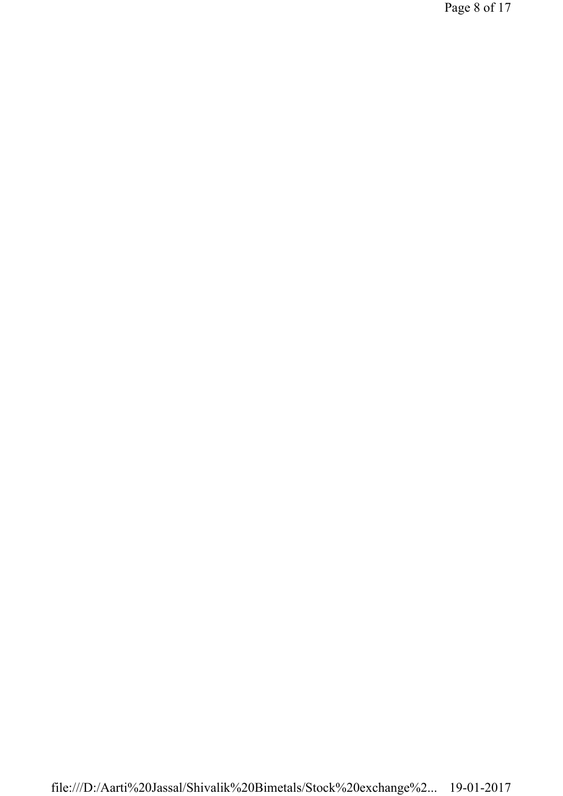Page 8 of 17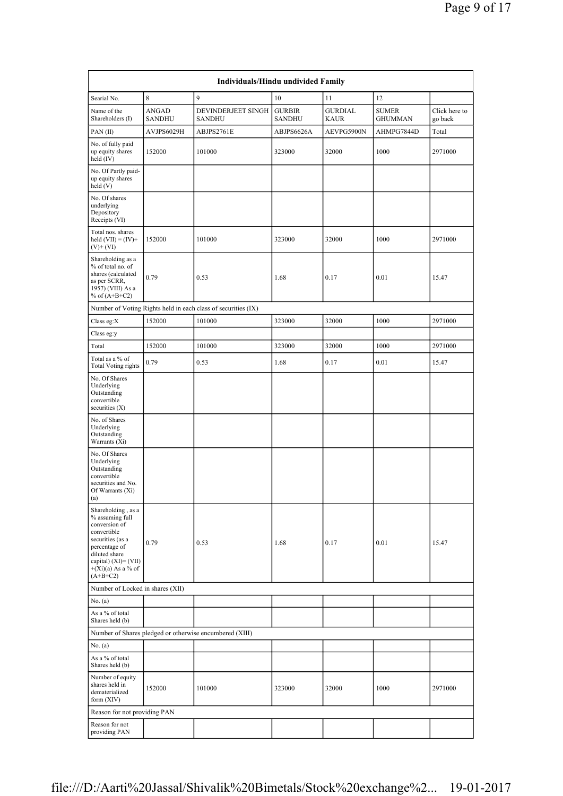| Individuals/Hindu undivided Family                                                                                                                                                           |                        |                                                               |                                |                               |                                |                          |  |  |  |
|----------------------------------------------------------------------------------------------------------------------------------------------------------------------------------------------|------------------------|---------------------------------------------------------------|--------------------------------|-------------------------------|--------------------------------|--------------------------|--|--|--|
| Searial No.                                                                                                                                                                                  | 8                      | 9                                                             | 10                             | 11                            | 12                             |                          |  |  |  |
| Name of the<br>Shareholders (I)                                                                                                                                                              | ANGAD<br><b>SANDHU</b> | DEVINDERJEET SINGH<br><b>SANDHU</b>                           | <b>GURBIR</b><br><b>SANDHU</b> | <b>GURDIAL</b><br><b>KAUR</b> | <b>SUMER</b><br><b>GHUMMAN</b> | Click here to<br>go back |  |  |  |
| PAN(II)                                                                                                                                                                                      | AVJPS6029H             | ABJPS2761E                                                    | ABJPS6626A                     | AEVPG5900N                    | AHMPG7844D                     | Total                    |  |  |  |
| No. of fully paid<br>up equity shares<br>held (IV)                                                                                                                                           | 152000                 | 101000                                                        | 323000                         | 32000                         | 1000                           | 2971000                  |  |  |  |
| No. Of Partly paid-<br>up equity shares<br>held (V)                                                                                                                                          |                        |                                                               |                                |                               |                                |                          |  |  |  |
| No. Of shares<br>underlying<br>Depository<br>Receipts (VI)                                                                                                                                   |                        |                                                               |                                |                               |                                |                          |  |  |  |
| Total nos. shares<br>held $(VII) = (IV) +$<br>$(V)$ + $(VI)$                                                                                                                                 | 152000                 | 101000                                                        | 323000                         | 32000                         | 1000                           | 2971000                  |  |  |  |
| Shareholding as a<br>% of total no. of<br>shares (calculated<br>as per SCRR,<br>1957) (VIII) As a<br>% of $(A+B+C2)$                                                                         | 0.79                   | 0.53                                                          | 1.68                           | 0.17                          | 0.01                           | 15.47                    |  |  |  |
|                                                                                                                                                                                              |                        | Number of Voting Rights held in each class of securities (IX) |                                |                               |                                |                          |  |  |  |
| Class eg:X                                                                                                                                                                                   | 152000                 | 101000                                                        | 323000                         | 32000                         | 1000                           | 2971000                  |  |  |  |
| Class eg:y                                                                                                                                                                                   |                        |                                                               |                                |                               |                                |                          |  |  |  |
| Total                                                                                                                                                                                        | 152000                 | 101000                                                        | 323000                         | 32000                         | 1000                           | 2971000                  |  |  |  |
| Total as a % of<br><b>Total Voting rights</b>                                                                                                                                                | 0.79                   | 0.53                                                          | 1.68                           | 0.17                          | 0.01                           | 15.47                    |  |  |  |
| No. Of Shares<br>Underlying<br>Outstanding<br>convertible<br>securities (X)                                                                                                                  |                        |                                                               |                                |                               |                                |                          |  |  |  |
| No. of Shares<br>Underlying<br>Outstanding<br>Warrants (Xi)                                                                                                                                  |                        |                                                               |                                |                               |                                |                          |  |  |  |
| No. Of Shares<br>Underlying<br>Outstanding<br>convertible<br>securities and No.<br>Of Warrants (Xi)<br>(a)                                                                                   |                        |                                                               |                                |                               |                                |                          |  |  |  |
| Shareholding, as a<br>% assuming full<br>conversion of<br>convertible<br>securities (as a<br>percentage of<br>diluted share<br>capital) $(XI) = (VII)$<br>$+(Xi)(a)$ As a % of<br>$(A+B+C2)$ | 0.79                   | 0.53                                                          | 1.68                           | 0.17                          | 0.01                           | 15.47                    |  |  |  |
| Number of Locked in shares (XII)                                                                                                                                                             |                        |                                                               |                                |                               |                                |                          |  |  |  |
| No. (a)                                                                                                                                                                                      |                        |                                                               |                                |                               |                                |                          |  |  |  |
| As a % of total<br>Shares held (b)                                                                                                                                                           |                        |                                                               |                                |                               |                                |                          |  |  |  |
|                                                                                                                                                                                              |                        | Number of Shares pledged or otherwise encumbered (XIII)       |                                |                               |                                |                          |  |  |  |
| No. (a)                                                                                                                                                                                      |                        |                                                               |                                |                               |                                |                          |  |  |  |
| As a % of total<br>Shares held (b)                                                                                                                                                           |                        |                                                               |                                |                               |                                |                          |  |  |  |
| Number of equity<br>shares held in<br>dematerialized<br>form (XIV)                                                                                                                           | 152000                 | 101000                                                        | 323000                         | 32000                         | 1000                           | 2971000                  |  |  |  |
| Reason for not providing PAN                                                                                                                                                                 |                        |                                                               |                                |                               |                                |                          |  |  |  |
| Reason for not<br>providing PAN                                                                                                                                                              |                        |                                                               |                                |                               |                                |                          |  |  |  |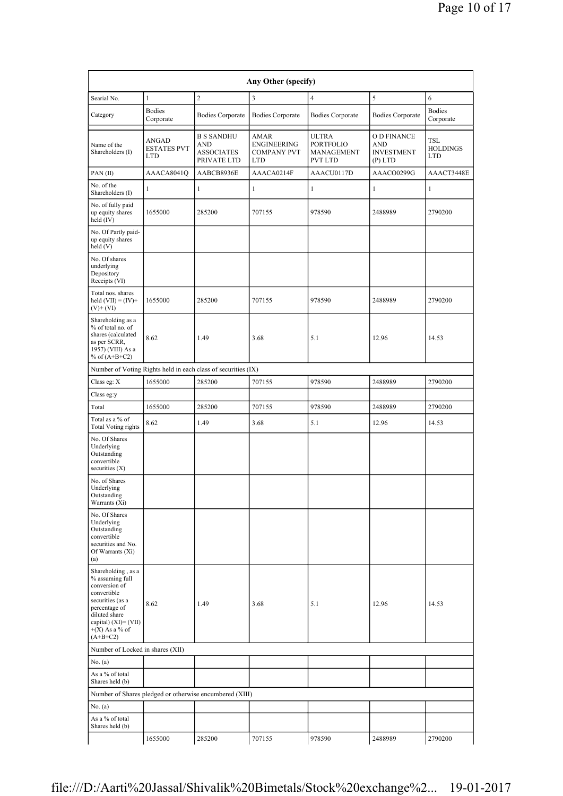|                                                                                                                                                                                          | Any Other (specify)                       |                                                                     |                                                         |                                                                  |                                                             |                               |  |  |  |  |
|------------------------------------------------------------------------------------------------------------------------------------------------------------------------------------------|-------------------------------------------|---------------------------------------------------------------------|---------------------------------------------------------|------------------------------------------------------------------|-------------------------------------------------------------|-------------------------------|--|--|--|--|
| Searial No.                                                                                                                                                                              | $\mathbf{1}$                              | $\sqrt{2}$                                                          | 3                                                       | $\overline{4}$                                                   | 5                                                           | 6                             |  |  |  |  |
| Category                                                                                                                                                                                 | <b>Bodies</b><br>Corporate                | <b>Bodies Corporate</b>                                             | <b>Bodies Corporate</b>                                 | <b>Bodies Corporate</b>                                          | <b>Bodies Corporate</b>                                     | <b>Bodies</b><br>Corporate    |  |  |  |  |
| Name of the<br>Shareholders (I)                                                                                                                                                          | ANGAD<br><b>ESTATES PVT</b><br><b>LTD</b> | <b>B S SANDHU</b><br><b>AND</b><br><b>ASSOCIATES</b><br>PRIVATE LTD | AMAR<br><b>ENGINEERING</b><br><b>COMPANY PVT</b><br>LTD | <b>ULTRA</b><br><b>PORTFOLIO</b><br>MANAGEMENT<br><b>PVT LTD</b> | O D FINANCE<br><b>AND</b><br><b>INVESTMENT</b><br>$(P)$ LTD | TSL<br><b>HOLDINGS</b><br>LTD |  |  |  |  |
| PAN(II)                                                                                                                                                                                  | AAACA8041Q                                | AABCB8936E                                                          | AAACA0214F                                              | AAACU0117D                                                       | AAACO0299G                                                  | AAACT3448E                    |  |  |  |  |
| No. of the<br>Shareholders (I)                                                                                                                                                           | 1                                         | $\mathbf{1}$                                                        | $\mathbf{1}$                                            | $\mathbf{1}$                                                     | $\mathbf{1}$                                                | 1                             |  |  |  |  |
| No. of fully paid<br>up equity shares<br>held (IV)                                                                                                                                       | 1655000                                   | 285200                                                              | 707155                                                  | 978590                                                           | 2488989                                                     | 2790200                       |  |  |  |  |
| No. Of Partly paid-<br>up equity shares<br>held (V)                                                                                                                                      |                                           |                                                                     |                                                         |                                                                  |                                                             |                               |  |  |  |  |
| No. Of shares<br>underlying<br>Depository<br>Receipts (VI)                                                                                                                               |                                           |                                                                     |                                                         |                                                                  |                                                             |                               |  |  |  |  |
| Total nos. shares<br>held $(VII) = (IV) +$<br>$(V)$ + $(VI)$                                                                                                                             | 1655000                                   | 285200                                                              | 707155                                                  | 978590                                                           | 2488989                                                     | 2790200                       |  |  |  |  |
| Shareholding as a<br>% of total no. of<br>shares (calculated<br>as per SCRR,<br>1957) (VIII) As a<br>% of $(A+B+C2)$                                                                     | 8.62                                      | 1.49                                                                | 3.68                                                    | 5.1                                                              | 12.96                                                       | 14.53                         |  |  |  |  |
| Number of Voting Rights held in each class of securities (IX)                                                                                                                            |                                           |                                                                     |                                                         |                                                                  |                                                             |                               |  |  |  |  |
| Class eg: X                                                                                                                                                                              | 1655000                                   | 285200                                                              | 707155                                                  | 978590                                                           | 2488989                                                     | 2790200                       |  |  |  |  |
| Class eg:y                                                                                                                                                                               |                                           |                                                                     |                                                         |                                                                  |                                                             |                               |  |  |  |  |
| Total                                                                                                                                                                                    | 1655000                                   | 285200                                                              | 707155                                                  | 978590                                                           | 2488989                                                     | 2790200                       |  |  |  |  |
| Total as a % of<br><b>Total Voting rights</b>                                                                                                                                            | 8.62                                      | 1.49                                                                | 3.68                                                    | 5.1                                                              | 12.96                                                       | 14.53                         |  |  |  |  |
| No. Of Shares<br>Underlying<br>Outstanding<br>convertible<br>securities (X)                                                                                                              |                                           |                                                                     |                                                         |                                                                  |                                                             |                               |  |  |  |  |
| No. of Shares<br>Underlying<br>Outstanding<br>Warrants (Xi)                                                                                                                              |                                           |                                                                     |                                                         |                                                                  |                                                             |                               |  |  |  |  |
| No. Of Shares<br>Underlying<br>Outstanding<br>convertible<br>securities and No.<br>Of Warrants (Xi)<br>(a)                                                                               |                                           |                                                                     |                                                         |                                                                  |                                                             |                               |  |  |  |  |
| Shareholding, as a<br>% assuming full<br>conversion of<br>convertible<br>securities (as a<br>percentage of<br>diluted share<br>capital) $(XI) = (VII)$<br>$+(X)$ As a % of<br>$(A+B+C2)$ | 8.62                                      | 1.49                                                                | 3.68                                                    | 5.1                                                              | 12.96                                                       | 14.53                         |  |  |  |  |
| Number of Locked in shares (XII)                                                                                                                                                         |                                           |                                                                     |                                                         |                                                                  |                                                             |                               |  |  |  |  |
| No. $(a)$                                                                                                                                                                                |                                           |                                                                     |                                                         |                                                                  |                                                             |                               |  |  |  |  |
| As a % of total<br>Shares held (b)                                                                                                                                                       |                                           |                                                                     |                                                         |                                                                  |                                                             |                               |  |  |  |  |
|                                                                                                                                                                                          |                                           | Number of Shares pledged or otherwise encumbered (XIII)             |                                                         |                                                                  |                                                             |                               |  |  |  |  |
| No. (a)                                                                                                                                                                                  |                                           |                                                                     |                                                         |                                                                  |                                                             |                               |  |  |  |  |
| As a % of total<br>Shares held (b)                                                                                                                                                       |                                           |                                                                     |                                                         |                                                                  |                                                             |                               |  |  |  |  |
|                                                                                                                                                                                          | 1655000                                   | 285200                                                              | 707155                                                  | 978590                                                           | 2488989                                                     | 2790200                       |  |  |  |  |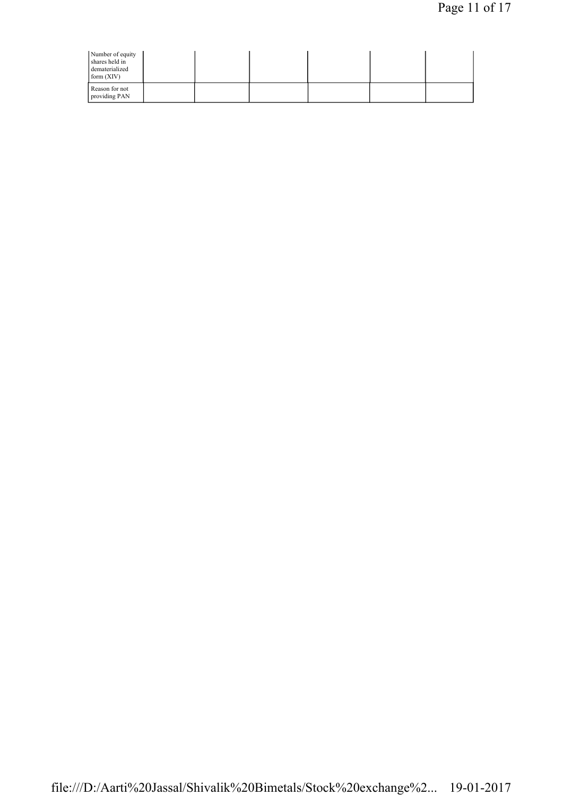| Number of equity<br>shares held in<br>dematerialized<br>form (XIV) |  |  |  |  |
|--------------------------------------------------------------------|--|--|--|--|
| Reason for not<br>providing PAN                                    |  |  |  |  |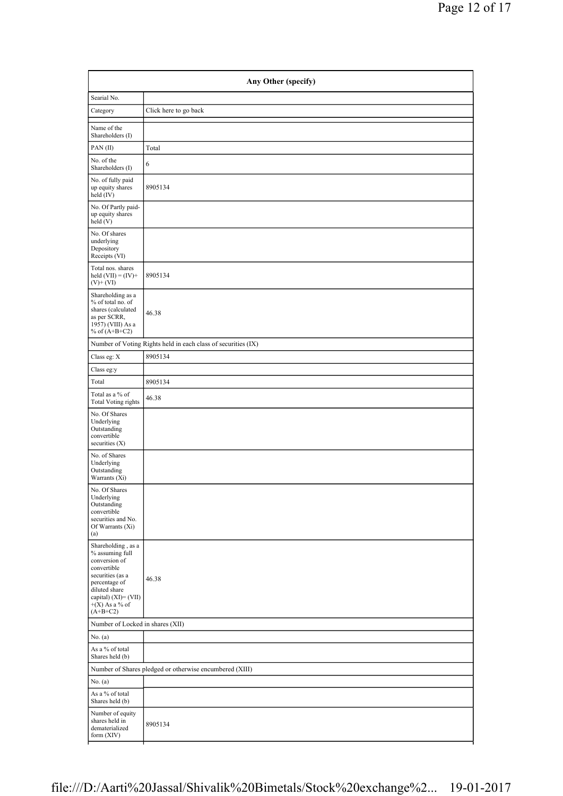| Searial No.                                                                                                                                                                                 |                                                               |
|---------------------------------------------------------------------------------------------------------------------------------------------------------------------------------------------|---------------------------------------------------------------|
| Category                                                                                                                                                                                    | Click here to go back                                         |
| Name of the<br>Shareholders (I)                                                                                                                                                             |                                                               |
| PAN(II)                                                                                                                                                                                     | Total                                                         |
| No. of the<br>Shareholders (I)                                                                                                                                                              | 6                                                             |
| No. of fully paid<br>up equity shares<br>held (IV)                                                                                                                                          | 8905134                                                       |
| No. Of Partly paid-<br>up equity shares<br>held(V)                                                                                                                                          |                                                               |
| No. Of shares<br>underlying<br>Depository<br>Receipts (VI)                                                                                                                                  |                                                               |
| Total nos. shares<br>held $(VII) = (IV) +$<br>$(V)$ + $(VI)$                                                                                                                                | 8905134                                                       |
| Shareholding as a<br>% of total no. of<br>shares (calculated<br>as per SCRR,<br>1957) (VIII) As a<br>% of $(A+B+C2)$                                                                        | 46.38                                                         |
|                                                                                                                                                                                             | Number of Voting Rights held in each class of securities (IX) |
| Class eg: $\mathbf X$                                                                                                                                                                       | 8905134                                                       |
| Class eg:y                                                                                                                                                                                  |                                                               |
| Total                                                                                                                                                                                       | 8905134                                                       |
| Total as a % of<br><b>Total Voting rights</b>                                                                                                                                               | 46.38                                                         |
| No. Of Shares<br>Underlying<br>Outstanding<br>convertible<br>securities $(X)$                                                                                                               |                                                               |
| No. of Shares<br>Underlying<br>Outstanding<br>Warrants (Xi)                                                                                                                                 |                                                               |
| No. Of Shares<br>Underlying<br>Outstanding<br>convertible<br>securities and No.<br>Of Warrants (Xi)<br>(a)                                                                                  |                                                               |
| Shareholding, as a<br>$\%$ assuming full<br>conversion of<br>convertible<br>securities (as a<br>percentage of<br>diluted share<br>capital) $(XI) = (VII)$<br>$+(X)$ As a % of<br>$(A+B+C2)$ | 46.38                                                         |
| Number of Locked in shares (XII)                                                                                                                                                            |                                                               |
| No. (a)                                                                                                                                                                                     |                                                               |
| As a % of total<br>Shares held (b)                                                                                                                                                          |                                                               |
|                                                                                                                                                                                             | Number of Shares pledged or otherwise encumbered (XIII)       |
| No. $(a)$                                                                                                                                                                                   |                                                               |
| As a % of total<br>Shares held (b)                                                                                                                                                          |                                                               |
| Number of equity<br>shares held in<br>dematerialized                                                                                                                                        | 8905134                                                       |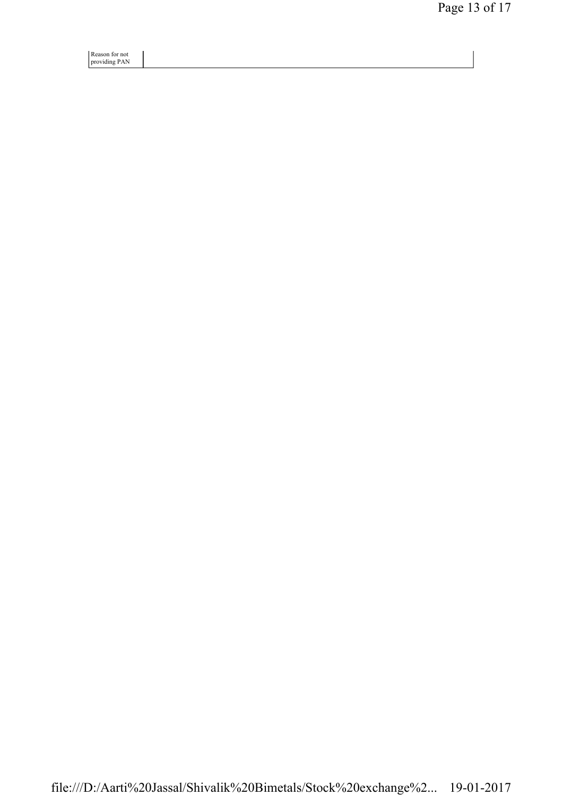Reason for not providing PAN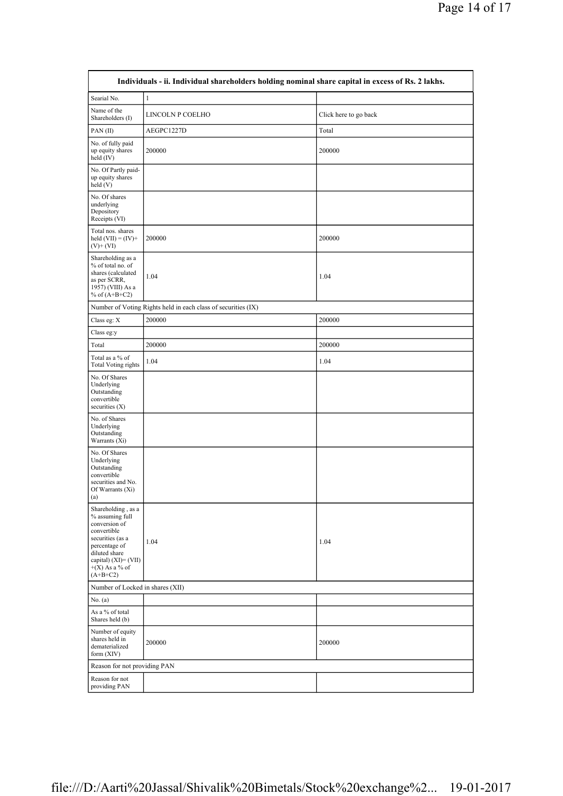| Individuals - ii. Individual shareholders holding nominal share capital in excess of Rs. 2 lakhs.                                                                                     |                                                               |                       |  |  |  |  |  |  |  |
|---------------------------------------------------------------------------------------------------------------------------------------------------------------------------------------|---------------------------------------------------------------|-----------------------|--|--|--|--|--|--|--|
| Searial No.                                                                                                                                                                           | $\mathbf{1}$                                                  |                       |  |  |  |  |  |  |  |
| Name of the<br>Shareholders (I)                                                                                                                                                       | LINCOLN P COELHO                                              | Click here to go back |  |  |  |  |  |  |  |
| PAN(II)                                                                                                                                                                               | AEGPC1227D                                                    | Total                 |  |  |  |  |  |  |  |
| No. of fully paid<br>up equity shares<br>held (IV)                                                                                                                                    | 200000                                                        | 200000                |  |  |  |  |  |  |  |
| No. Of Partly paid-<br>up equity shares<br>held (V)                                                                                                                                   |                                                               |                       |  |  |  |  |  |  |  |
| No. Of shares<br>underlying<br>Depository<br>Receipts (VI)                                                                                                                            |                                                               |                       |  |  |  |  |  |  |  |
| Total nos. shares<br>held $(VII) = (IV) +$<br>$(V)$ + $(VI)$                                                                                                                          | 200000                                                        | 200000                |  |  |  |  |  |  |  |
| Shareholding as a<br>% of total no. of<br>shares (calculated<br>as per SCRR,<br>1957) (VIII) As a<br>% of $(A+B+C2)$                                                                  | 1.04                                                          | 1.04                  |  |  |  |  |  |  |  |
|                                                                                                                                                                                       | Number of Voting Rights held in each class of securities (IX) |                       |  |  |  |  |  |  |  |
| Class eg: X                                                                                                                                                                           | 200000                                                        | 200000                |  |  |  |  |  |  |  |
| Class eg:y                                                                                                                                                                            |                                                               |                       |  |  |  |  |  |  |  |
| Total                                                                                                                                                                                 | 200000                                                        | 200000                |  |  |  |  |  |  |  |
| Total as a % of<br><b>Total Voting rights</b>                                                                                                                                         | 1.04                                                          | 1.04                  |  |  |  |  |  |  |  |
| No. Of Shares<br>Underlying<br>Outstanding<br>convertible<br>securities $(X)$                                                                                                         |                                                               |                       |  |  |  |  |  |  |  |
| No. of Shares<br>Underlying<br>Outstanding<br>Warrants (Xi)                                                                                                                           |                                                               |                       |  |  |  |  |  |  |  |
| No. Of Shares<br>Underlying<br>Outstanding<br>convertible<br>securities and No.<br>Of Warrants (Xi)<br>(a)                                                                            |                                                               |                       |  |  |  |  |  |  |  |
| Shareholding, as a<br>% assuming full<br>conversion of<br>convertible<br>securities (as a<br>percentage of<br>diluted share<br>capital) (XI)= (VII)<br>$+(X)$ As a % of<br>$(A+B+C2)$ | 1.04                                                          | 1.04                  |  |  |  |  |  |  |  |
| Number of Locked in shares (XII)                                                                                                                                                      |                                                               |                       |  |  |  |  |  |  |  |
| No. $(a)$                                                                                                                                                                             |                                                               |                       |  |  |  |  |  |  |  |
| As a % of total<br>Shares held (b)                                                                                                                                                    |                                                               |                       |  |  |  |  |  |  |  |
| Number of equity<br>shares held in<br>dematerialized<br>form (XIV)                                                                                                                    | 200000                                                        | 200000                |  |  |  |  |  |  |  |
|                                                                                                                                                                                       | Reason for not providing PAN                                  |                       |  |  |  |  |  |  |  |
| Reason for not<br>providing PAN                                                                                                                                                       |                                                               |                       |  |  |  |  |  |  |  |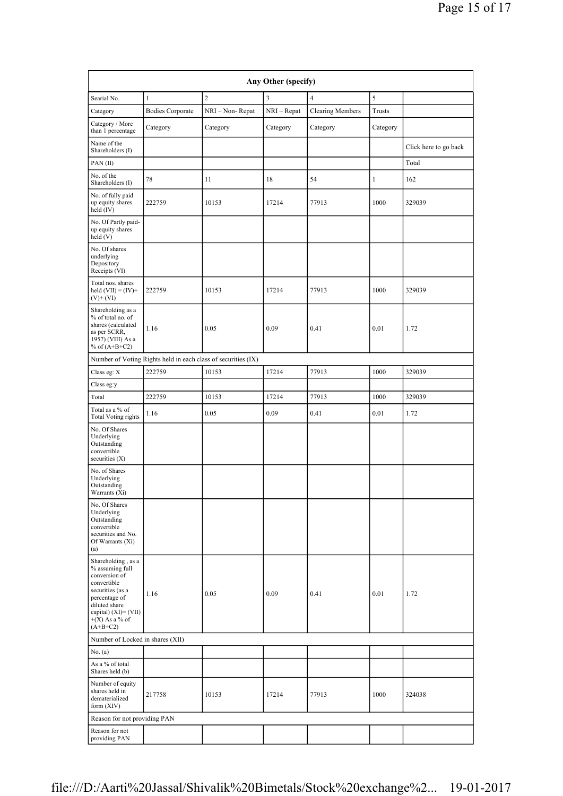| Any Other (specify)                                                                                                                                                                      |                         |                 |             |                         |          |                       |
|------------------------------------------------------------------------------------------------------------------------------------------------------------------------------------------|-------------------------|-----------------|-------------|-------------------------|----------|-----------------------|
| Searial No.                                                                                                                                                                              | $\mathbf{1}$            | $\overline{2}$  | 3           | $\overline{4}$          | 5        |                       |
| Category                                                                                                                                                                                 | <b>Bodies Corporate</b> | NRI - Non-Repat | NRI – Repat | <b>Clearing Members</b> | Trusts   |                       |
| Category / More<br>than 1 percentage                                                                                                                                                     | Category                | Category        | Category    | Category                | Category |                       |
| Name of the<br>Shareholders (I)                                                                                                                                                          |                         |                 |             |                         |          | Click here to go back |
| PAN(II)                                                                                                                                                                                  |                         |                 |             |                         |          | Total                 |
| No. of the<br>Shareholders (I)                                                                                                                                                           | 78                      | 11              | 18          | 54                      | 1        | 162                   |
| No. of fully paid<br>up equity shares<br>held (IV)                                                                                                                                       | 222759                  | 10153           | 17214       | 77913                   | 1000     | 329039                |
| No. Of Partly paid-<br>up equity shares<br>held (V)                                                                                                                                      |                         |                 |             |                         |          |                       |
| No. Of shares<br>underlying<br>Depository<br>Receipts (VI)                                                                                                                               |                         |                 |             |                         |          |                       |
| Total nos. shares<br>held $(VII) = (IV) +$<br>$(V)$ + $(VI)$                                                                                                                             | 222759                  | 10153           | 17214       | 77913                   | 1000     | 329039                |
| Shareholding as a<br>% of total no. of<br>shares (calculated<br>as per SCRR,<br>1957) (VIII) As a<br>% of $(A+B+C2)$                                                                     | 1.16                    | 0.05            | 0.09        | 0.41                    | 0.01     | 1.72                  |
| Number of Voting Rights held in each class of securities (IX)                                                                                                                            |                         |                 |             |                         |          |                       |
| Class eg: X                                                                                                                                                                              | 222759                  | 10153           | 17214       | 77913                   | 1000     | 329039                |
| Class eg:y                                                                                                                                                                               |                         |                 |             |                         |          |                       |
| Total                                                                                                                                                                                    | 222759                  | 10153           | 17214       | 77913                   | 1000     | 329039                |
| Total as a % of<br><b>Total Voting rights</b>                                                                                                                                            | 1.16                    | 0.05            | 0.09        | 0.41                    | 0.01     | 1.72                  |
| No. Of Shares<br>Underlying<br>Outstanding<br>convertible<br>securities (X)                                                                                                              |                         |                 |             |                         |          |                       |
| No. of Shares<br>Underlying<br>Outstanding<br>Warrants (Xi)                                                                                                                              |                         |                 |             |                         |          |                       |
| No. Of Shares<br>Underlying<br>Outstanding<br>convertible<br>securities and No.<br>Of Warrants (Xi)<br>(a)                                                                               |                         |                 |             |                         |          |                       |
| Shareholding, as a<br>% assuming full<br>conversion of<br>convertible<br>securities (as a<br>percentage of<br>diluted share<br>capital) $(XI) = (VII)$<br>$+(X)$ As a % of<br>$(A+B+C2)$ | 1.16                    | 0.05            | 0.09        | 0.41                    | 0.01     | 1.72                  |
| Number of Locked in shares (XII)                                                                                                                                                         |                         |                 |             |                         |          |                       |
| No. (a)                                                                                                                                                                                  |                         |                 |             |                         |          |                       |
| As a % of total<br>Shares held (b)                                                                                                                                                       |                         |                 |             |                         |          |                       |
| Number of equity<br>shares held in<br>dematerialized<br>form (XIV)                                                                                                                       | 217758                  | 10153           | 17214       | 77913                   | 1000     | 324038                |
| Reason for not providing PAN                                                                                                                                                             |                         |                 |             |                         |          |                       |
| Reason for not<br>providing PAN                                                                                                                                                          |                         |                 |             |                         |          |                       |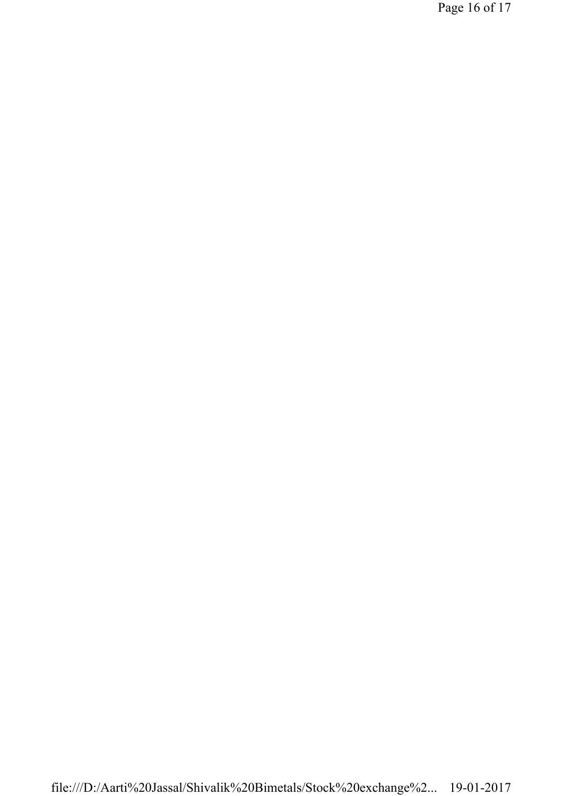Page 16 of 17